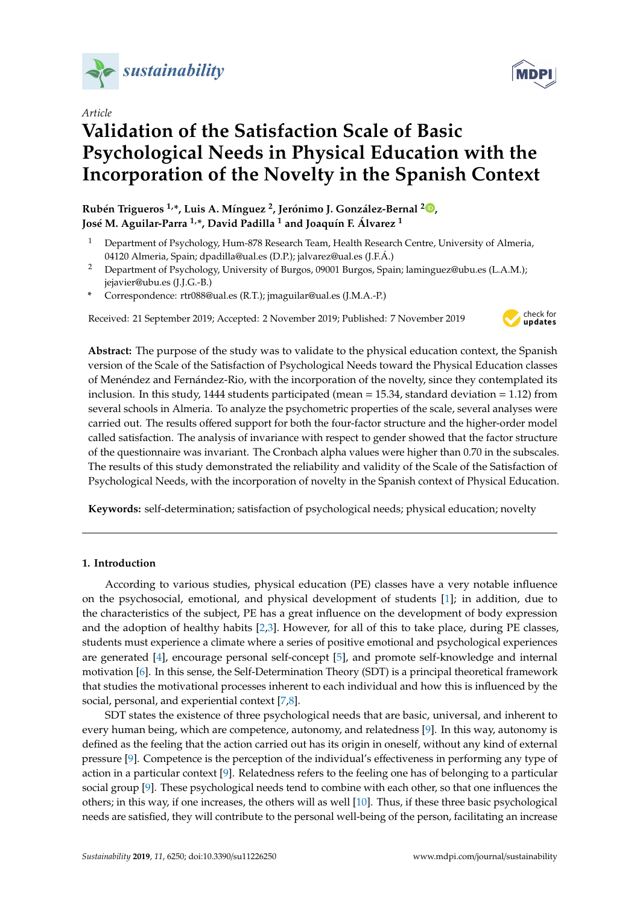

*Article*

# **Validation of the Satisfaction Scale of Basic Psychological Needs in Physical Education with the Incorporation of the Novelty in the Spanish Context**

**Rubén Trigueros 1,\*, Luis A. Mínguez <sup>2</sup> , Jerónimo J. González-Bernal <sup>2</sup> [,](https://orcid.org/0000-0002-7298-9060) José M. Aguilar-Parra 1,\*, David Padilla <sup>1</sup> and Joaquín F. Álvarez <sup>1</sup>**

- <sup>1</sup> Department of Psychology, Hum-878 Research Team, Health Research Centre, University of Almeria, 04120 Almeria, Spain; dpadilla@ual.es (D.P.); jalvarez@ual.es (J.F.Á.)
- <sup>2</sup> Department of Psychology, University of Burgos, 09001 Burgos, Spain; laminguez@ubu.es (L.A.M.); jejavier@ubu.es (J.J.G.-B.)
- **\*** Correspondence: rtr088@ual.es (R.T.); jmaguilar@ual.es (J.M.A.-P.)

Received: 21 September 2019; Accepted: 2 November 2019; Published: 7 November 2019



**Abstract:** The purpose of the study was to validate to the physical education context, the Spanish version of the Scale of the Satisfaction of Psychological Needs toward the Physical Education classes of Menéndez and Fernández-Rio, with the incorporation of the novelty, since they contemplated its inclusion. In this study, 1444 students participated (mean = 15.34, standard deviation = 1.12) from several schools in Almeria. To analyze the psychometric properties of the scale, several analyses were carried out. The results offered support for both the four-factor structure and the higher-order model called satisfaction. The analysis of invariance with respect to gender showed that the factor structure of the questionnaire was invariant. The Cronbach alpha values were higher than 0.70 in the subscales. The results of this study demonstrated the reliability and validity of the Scale of the Satisfaction of Psychological Needs, with the incorporation of novelty in the Spanish context of Physical Education.

**Keywords:** self-determination; satisfaction of psychological needs; physical education; novelty

## **1. Introduction**

According to various studies, physical education (PE) classes have a very notable influence on the psychosocial, emotional, and physical development of students [\[1\]](#page-8-0); in addition, due to the characteristics of the subject, PE has a great influence on the development of body expression and the adoption of healthy habits [\[2,](#page-8-1)[3\]](#page-8-2). However, for all of this to take place, during PE classes, students must experience a climate where a series of positive emotional and psychological experiences are generated [\[4\]](#page-8-3), encourage personal self-concept [\[5\]](#page-9-0), and promote self-knowledge and internal motivation [\[6\]](#page-9-1). In this sense, the Self-Determination Theory (SDT) is a principal theoretical framework that studies the motivational processes inherent to each individual and how this is influenced by the social, personal, and experiential context [\[7,](#page-9-2)[8\]](#page-9-3).

SDT states the existence of three psychological needs that are basic, universal, and inherent to every human being, which are competence, autonomy, and relatedness [\[9\]](#page-9-4). In this way, autonomy is defined as the feeling that the action carried out has its origin in oneself, without any kind of external pressure [\[9\]](#page-9-4). Competence is the perception of the individual's effectiveness in performing any type of action in a particular context [\[9\]](#page-9-4). Relatedness refers to the feeling one has of belonging to a particular social group [\[9\]](#page-9-4). These psychological needs tend to combine with each other, so that one influences the others; in this way, if one increases, the others will as well [\[10\]](#page-9-5). Thus, if these three basic psychological needs are satisfied, they will contribute to the personal well-being of the person, facilitating an increase

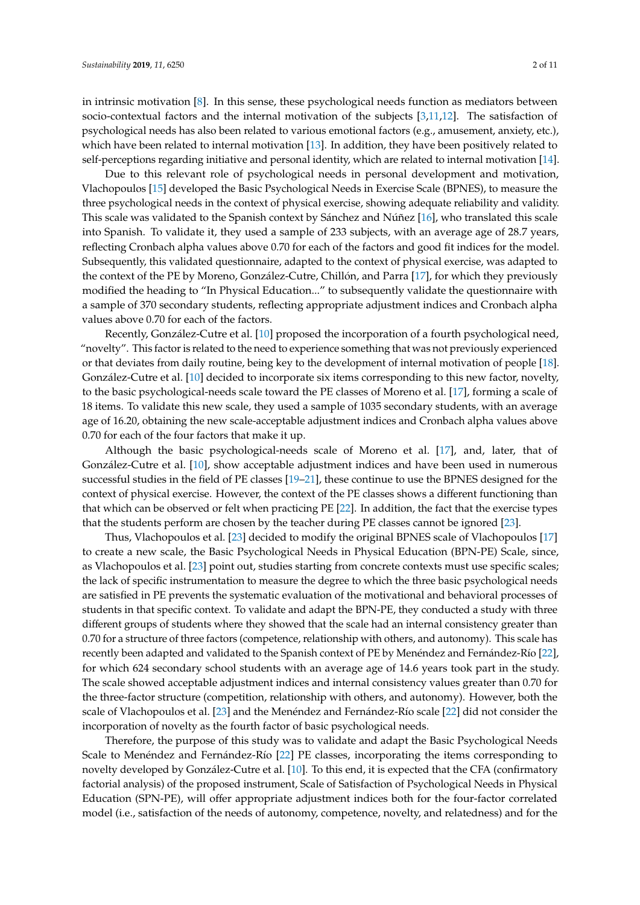in intrinsic motivation [\[8\]](#page-9-3). In this sense, these psychological needs function as mediators between socio-contextual factors and the internal motivation of the subjects [\[3](#page-8-2)[,11](#page-9-6)[,12\]](#page-9-7). The satisfaction of psychological needs has also been related to various emotional factors (e.g., amusement, anxiety, etc.), which have been related to internal motivation [\[13\]](#page-9-8). In addition, they have been positively related to self-perceptions regarding initiative and personal identity, which are related to internal motivation [\[14\]](#page-9-9).

Due to this relevant role of psychological needs in personal development and motivation, Vlachopoulos [\[15\]](#page-9-10) developed the Basic Psychological Needs in Exercise Scale (BPNES), to measure the three psychological needs in the context of physical exercise, showing adequate reliability and validity. This scale was validated to the Spanish context by Sánchez and Núñez [\[16\]](#page-9-11), who translated this scale into Spanish. To validate it, they used a sample of 233 subjects, with an average age of 28.7 years, reflecting Cronbach alpha values above 0.70 for each of the factors and good fit indices for the model. Subsequently, this validated questionnaire, adapted to the context of physical exercise, was adapted to the context of the PE by Moreno, González-Cutre, Chillón, and Parra [\[17\]](#page-9-12), for which they previously modified the heading to "In Physical Education..." to subsequently validate the questionnaire with a sample of 370 secondary students, reflecting appropriate adjustment indices and Cronbach alpha values above 0.70 for each of the factors.

Recently, González-Cutre et al. [\[10\]](#page-9-5) proposed the incorporation of a fourth psychological need, "novelty". This factor is related to the need to experience something that was not previously experienced or that deviates from daily routine, being key to the development of internal motivation of people [\[18\]](#page-9-13). González-Cutre et al. [\[10\]](#page-9-5) decided to incorporate six items corresponding to this new factor, novelty, to the basic psychological-needs scale toward the PE classes of Moreno et al. [\[17\]](#page-9-12), forming a scale of 18 items. To validate this new scale, they used a sample of 1035 secondary students, with an average age of 16.20, obtaining the new scale-acceptable adjustment indices and Cronbach alpha values above 0.70 for each of the four factors that make it up.

Although the basic psychological-needs scale of Moreno et al. [\[17\]](#page-9-12), and, later, that of González-Cutre et al. [\[10\]](#page-9-5), show acceptable adjustment indices and have been used in numerous successful studies in the field of PE classes [\[19–](#page-9-14)[21\]](#page-9-15), these continue to use the BPNES designed for the context of physical exercise. However, the context of the PE classes shows a different functioning than that which can be observed or felt when practicing PE [\[22\]](#page-9-16). In addition, the fact that the exercise types that the students perform are chosen by the teacher during PE classes cannot be ignored [\[23\]](#page-9-17).

Thus, Vlachopoulos et al. [\[23\]](#page-9-17) decided to modify the original BPNES scale of Vlachopoulos [\[17\]](#page-9-12) to create a new scale, the Basic Psychological Needs in Physical Education (BPN-PE) Scale, since, as Vlachopoulos et al. [\[23\]](#page-9-17) point out, studies starting from concrete contexts must use specific scales; the lack of specific instrumentation to measure the degree to which the three basic psychological needs are satisfied in PE prevents the systematic evaluation of the motivational and behavioral processes of students in that specific context. To validate and adapt the BPN-PE, they conducted a study with three different groups of students where they showed that the scale had an internal consistency greater than 0.70 for a structure of three factors (competence, relationship with others, and autonomy). This scale has recently been adapted and validated to the Spanish context of PE by Menéndez and Fernández-Río [\[22\]](#page-9-16), for which 624 secondary school students with an average age of 14.6 years took part in the study. The scale showed acceptable adjustment indices and internal consistency values greater than 0.70 for the three-factor structure (competition, relationship with others, and autonomy). However, both the scale of Vlachopoulos et al. [\[23\]](#page-9-17) and the Menéndez and Fernández-Río scale [\[22\]](#page-9-16) did not consider the incorporation of novelty as the fourth factor of basic psychological needs.

Therefore, the purpose of this study was to validate and adapt the Basic Psychological Needs Scale to Menéndez and Fernández-Río [\[22\]](#page-9-16) PE classes, incorporating the items corresponding to novelty developed by González-Cutre et al. [\[10\]](#page-9-5). To this end, it is expected that the CFA (confirmatory factorial analysis) of the proposed instrument, Scale of Satisfaction of Psychological Needs in Physical Education (SPN-PE), will offer appropriate adjustment indices both for the four-factor correlated model (i.e., satisfaction of the needs of autonomy, competence, novelty, and relatedness) and for the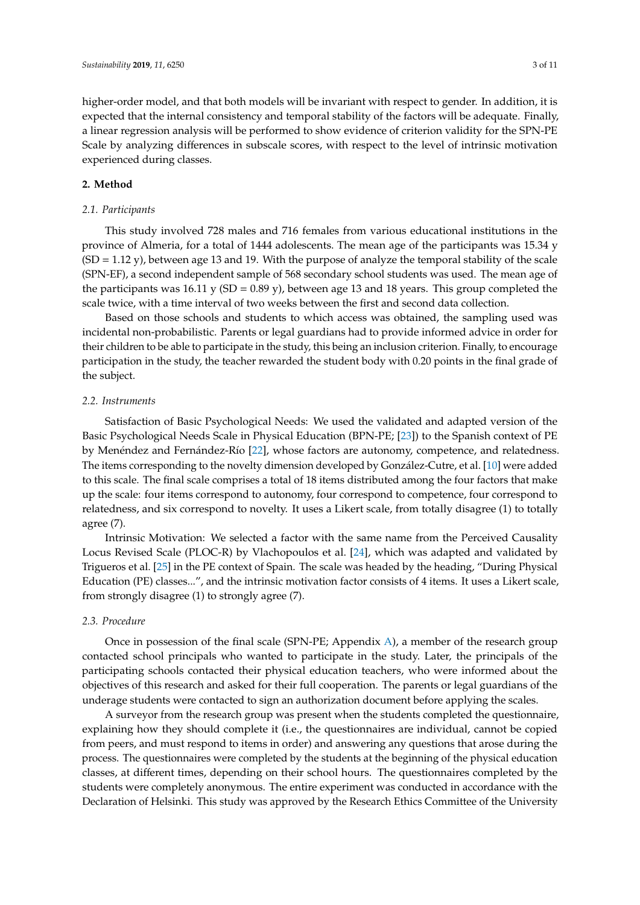higher-order model, and that both models will be invariant with respect to gender. In addition, it is expected that the internal consistency and temporal stability of the factors will be adequate. Finally, a linear regression analysis will be performed to show evidence of criterion validity for the SPN-PE Scale by analyzing differences in subscale scores, with respect to the level of intrinsic motivation experienced during classes.

# **2. Method**

#### *2.1. Participants*

This study involved 728 males and 716 females from various educational institutions in the province of Almeria, for a total of 1444 adolescents. The mean age of the participants was 15.34 y (SD = 1.12 y), between age 13 and 19. With the purpose of analyze the temporal stability of the scale (SPN-EF), a second independent sample of 568 secondary school students was used. The mean age of the participants was  $16.11$  y (SD = 0.89 y), between age 13 and 18 years. This group completed the scale twice, with a time interval of two weeks between the first and second data collection.

Based on those schools and students to which access was obtained, the sampling used was incidental non-probabilistic. Parents or legal guardians had to provide informed advice in order for their children to be able to participate in the study, this being an inclusion criterion. Finally, to encourage participation in the study, the teacher rewarded the student body with 0.20 points in the final grade of the subject.

#### *2.2. Instruments*

Satisfaction of Basic Psychological Needs: We used the validated and adapted version of the Basic Psychological Needs Scale in Physical Education (BPN-PE; [\[23\]](#page-9-17)) to the Spanish context of PE by Menéndez and Fernández-Río [\[22\]](#page-9-16), whose factors are autonomy, competence, and relatedness. The items corresponding to the novelty dimension developed by González-Cutre, et al. [\[10\]](#page-9-5) were added to this scale. The final scale comprises a total of 18 items distributed among the four factors that make up the scale: four items correspond to autonomy, four correspond to competence, four correspond to relatedness, and six correspond to novelty. It uses a Likert scale, from totally disagree (1) to totally agree (7).

Intrinsic Motivation: We selected a factor with the same name from the Perceived Causality Locus Revised Scale (PLOC-R) by Vlachopoulos et al. [\[24\]](#page-9-18), which was adapted and validated by Trigueros et al. [\[25\]](#page-10-0) in the PE context of Spain. The scale was headed by the heading, "During Physical Education (PE) classes...", and the intrinsic motivation factor consists of 4 items. It uses a Likert scale, from strongly disagree (1) to strongly agree (7).

## *2.3. Procedure*

Once in possession of the final scale (SPN-PE; Appendix [A\)](#page-7-0), a member of the research group contacted school principals who wanted to participate in the study. Later, the principals of the participating schools contacted their physical education teachers, who were informed about the objectives of this research and asked for their full cooperation. The parents or legal guardians of the underage students were contacted to sign an authorization document before applying the scales.

A surveyor from the research group was present when the students completed the questionnaire, explaining how they should complete it (i.e., the questionnaires are individual, cannot be copied from peers, and must respond to items in order) and answering any questions that arose during the process. The questionnaires were completed by the students at the beginning of the physical education classes, at different times, depending on their school hours. The questionnaires completed by the students were completely anonymous. The entire experiment was conducted in accordance with the Declaration of Helsinki. This study was approved by the Research Ethics Committee of the University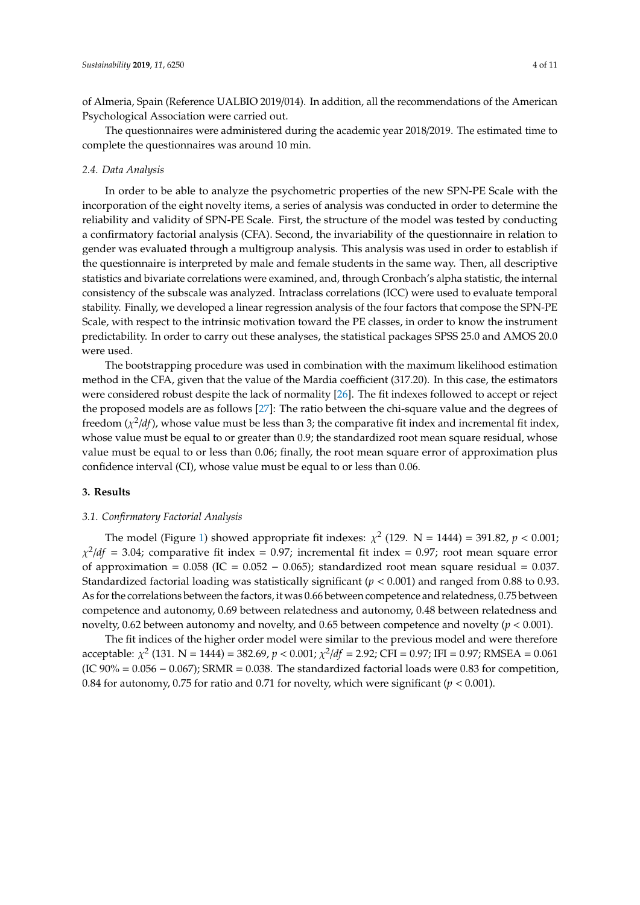of Almeria, Spain (Reference UALBIO 2019/014). In addition, all the recommendations of the American Psychological Association were carried out.

The questionnaires were administered during the academic year 2018/2019. The estimated time to complete the questionnaires was around 10 min.

## *2.4. Data Analysis*

In order to be able to analyze the psychometric properties of the new SPN-PE Scale with the incorporation of the eight novelty items, a series of analysis was conducted in order to determine the reliability and validity of SPN-PE Scale. First, the structure of the model was tested by conducting a confirmatory factorial analysis (CFA). Second, the invariability of the questionnaire in relation to gender was evaluated through a multigroup analysis. This analysis was used in order to establish if the questionnaire is interpreted by male and female students in the same way. Then, all descriptive statistics and bivariate correlations were examined, and, through Cronbach's alpha statistic, the internal consistency of the subscale was analyzed. Intraclass correlations (ICC) were used to evaluate temporal stability. Finally, we developed a linear regression analysis of the four factors that compose the SPN-PE Scale, with respect to the intrinsic motivation toward the PE classes, in order to know the instrument predictability. In order to carry out these analyses, the statistical packages SPSS 25.0 and AMOS 20.0 were used.

The bootstrapping procedure was used in combination with the maximum likelihood estimation method in the CFA, given that the value of the Mardia coefficient (317.20). In this case, the estimators were considered robust despite the lack of normality [\[26\]](#page-10-1). The fit indexes followed to accept or reject the proposed models are as follows [\[27\]](#page-10-2): The ratio between the chi-square value and the degrees of freedom  $(\chi^2/df)$ , whose value must be less than 3; the comparative fit index and incremental fit index, whose value must be equal to or greater than 0.9; the standardized root mean square residual, whose value must be equal to or less than 0.06; finally, the root mean square error of approximation plus confidence interval (CI), whose value must be equal to or less than 0.06.

## **3. Results**

## *3.1. Confirmatory Factorial Analysis*

The model (Figure [1\)](#page-4-0) showed appropriate fit indexes:  $\chi^2$  (129. N = 1444) = 391.82,  $p < 0.001$ ;  $\chi^2/df = 3.04$ ; comparative fit index = 0.97; incremental fit index = 0.97; root mean square error of approximation =  $0.058$  (IC =  $0.052 - 0.065$ ); standardized root mean square residual = 0.037. Standardized factorial loading was statistically significant (*p* < 0.001) and ranged from 0.88 to 0.93. As for the correlations between the factors, it was 0.66 between competence and relatedness, 0.75 between competence and autonomy, 0.69 between relatedness and autonomy, 0.48 between relatedness and novelty, 0.62 between autonomy and novelty, and 0.65 between competence and novelty (*p* < 0.001).

The fit indices of the higher order model were similar to the previous model and were therefore acceptable:  $\chi^2$  (131. N = 1444) = 382.69,  $p < 0.001$ ;  $\chi^2/df = 2.92$ ; CFI = 0.97; IFI = 0.97; RMSEA = 0.061 (IC  $90\% = 0.056 - 0.067$ ); SRMR = 0.038. The standardized factorial loads were 0.83 for competition, 0.84 for autonomy, 0.75 for ratio and 0.71 for novelty, which were significant ( $p < 0.001$ ).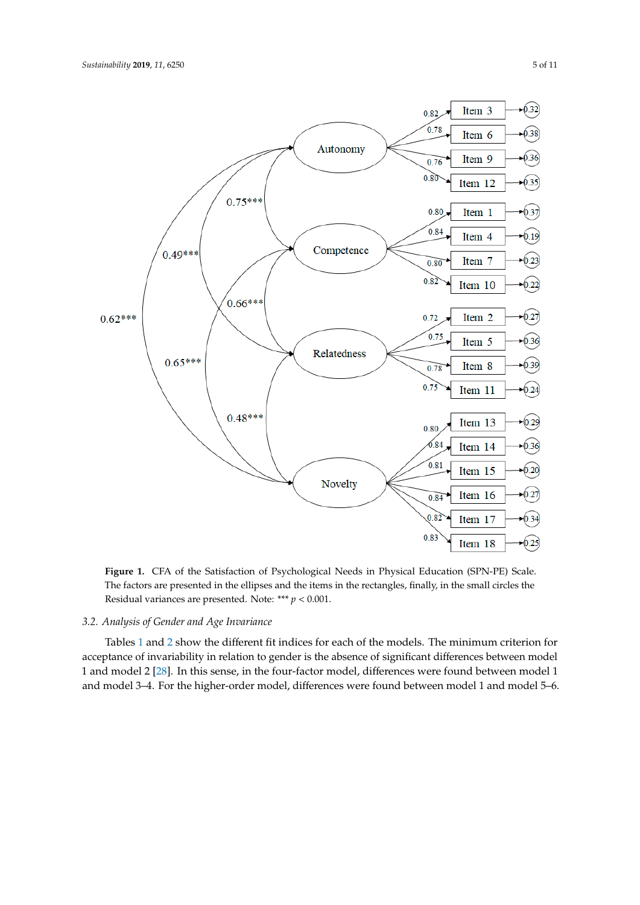<span id="page-4-0"></span>

**Figure 1.** CFA of the Satisfaction of Psychological Needs in Physical Education (SPN-PE) Scale. First arcticle are presented in the employ and the items in the rectangles, main, in the small circles the Residual variances are presented. Note:  $*** p < 0.001$ . Residual variances are presented. Note: \*\*\* *p <* 0.001. The factors are presented in the ellipses and the items in the rectangles, finally, in the small circles the

# *3.2. Analysis of Gender and Age Invariance*

Tables 1 and 2 show the different fit ind[ice](#page-5-0)s for each [of](#page-5-1) the models. The minimum criterion for acceptance of invariability in relation to gender is the absence of significant differences between model 1 and model 2 [\[28\]](#page-10-3). In this sense, in the four-factor model, differences were found between model 1 and model 3–4. For the higher-order model, differences were found between model 1 and model 5–6.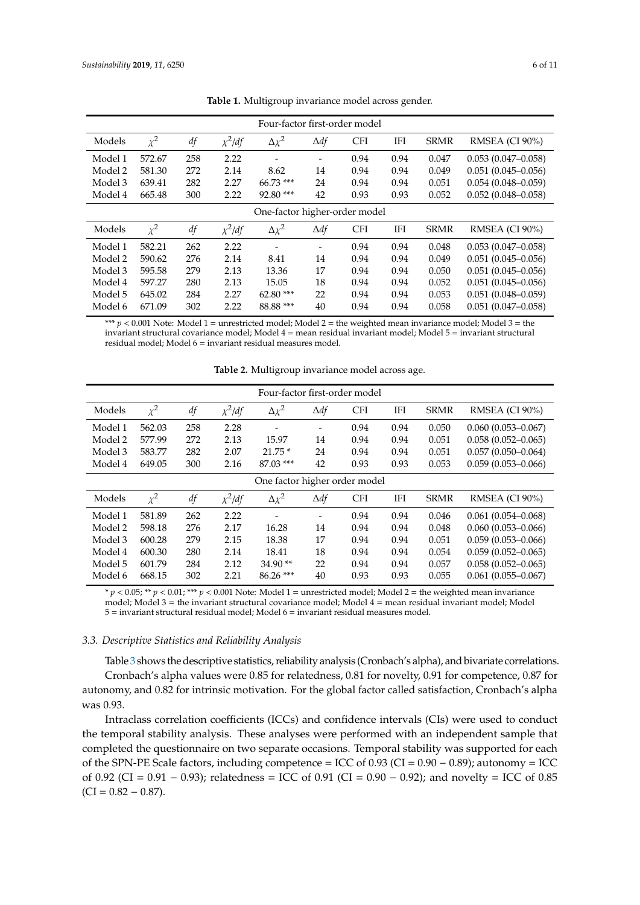<span id="page-5-0"></span>

| Four-factor first-order model |          |     |             |                              |                          |            |      |             |                        |
|-------------------------------|----------|-----|-------------|------------------------------|--------------------------|------------|------|-------------|------------------------|
| Models                        | $\chi^2$ | df  | $\chi^2/df$ | $\Delta \chi^2$              | $\Delta df$              | <b>CFI</b> | IFI  | <b>SRMR</b> | RMSEA (CI 90%)         |
| Model 1                       | 572.67   | 258 | 2.22        | $\qquad \qquad \blacksquare$ | $\overline{\phantom{0}}$ | 0.94       | 0.94 | 0.047       | $0.053(0.047-0.058)$   |
| Model 2                       | 581.30   | 272 | 2.14        | 8.62                         | 14                       | 0.94       | 0.94 | 0.049       | $0.051(0.045 - 0.056)$ |
| Model 3                       | 639.41   | 282 | 2.27        | $66.73***$                   | 24                       | 0.94       | 0.94 | 0.051       | $0.054(0.048 - 0.059)$ |
| Model 4                       | 665.48   | 300 | 2.22        | $92.80$ ***                  | 42                       | 0.93       | 0.93 | 0.052       | $0.052(0.048 - 0.058)$ |
| One-factor higher-order model |          |     |             |                              |                          |            |      |             |                        |
| Models                        | $\chi^2$ | df  | $\chi^2/df$ | $\Delta \chi^2$              | $\Delta df$              | <b>CFI</b> | IFI  | <b>SRMR</b> | RMSEA (CI 90%)         |
| Model 1                       | 582.21   | 262 | 2.22        |                              | -                        | 0.94       | 0.94 | 0.048       | $0.053(0.047-0.058)$   |
| Model 2                       | 590.62   | 276 | 2.14        | 8.41                         | 14                       | 0.94       | 0.94 | 0.049       | $0.051(0.045 - 0.056)$ |
| Model 3                       | 595.58   | 279 | 2.13        | 13.36                        | 17                       | 0.94       | 0.94 | 0.050       | $0.051(0.045 - 0.056)$ |
| Model 4                       | 597.27   | 280 | 2.13        | 15.05                        | 18                       | 0.94       | 0.94 | 0.052       | $0.051(0.045 - 0.056)$ |
| Model 5                       | 645.02   | 284 | 2.27        | $62.80***$                   | 22                       | 0.94       | 0.94 | 0.053       | $0.051(0.048 - 0.059)$ |
| Model 6                       | 671.09   | 302 | 2.22        | 88.88 ***                    | 40                       | 0.94       | 0.94 | 0.058       | $0.051(0.047-0.058)$   |

**Table 1.** Multigroup invariance model across gender.

\*\*\*  $p < 0.001$  Note: Model 1 = unrestricted model; Model 2 = the weighted mean invariance model; Model 3 = the invariant structural covariance model; Model 4 = mean residual invariant model; Model 5 = invariant structural residual model; Model 6 = invariant residual measures model.

<span id="page-5-1"></span>

|                               |          |     |             | Four-factor first-order model |                          |            |            |             |                        |
|-------------------------------|----------|-----|-------------|-------------------------------|--------------------------|------------|------------|-------------|------------------------|
| Models                        | $\chi^2$ | df  | $\chi^2/df$ | $\Delta \chi^2$               | $\Delta df$              | <b>CFI</b> | IFI        | <b>SRMR</b> | RMSEA (CI 90%)         |
| Model 1                       | 562.03   | 258 | 2.28        | $\qquad \qquad \blacksquare$  | $\overline{\phantom{a}}$ | 0.94       | 0.94       | 0.050       | $0.060(0.053 - 0.067)$ |
| Model 2                       | 577.99   | 272 | 2.13        | 15.97                         | 14                       | 0.94       | 0.94       | 0.051       | $0.058(0.052 - 0.065)$ |
| Model 3                       | 583.77   | 282 | 2.07        | $21.75*$                      | 24                       | 0.94       | 0.94       | 0.051       | $0.057(0.050 - 0.064)$ |
| Model 4                       | 649.05   | 300 | 2.16        | $87.03$ ***                   | 42                       | 0.93       | 0.93       | 0.053       | $0.059(0.053 - 0.066)$ |
| One factor higher order model |          |     |             |                               |                          |            |            |             |                        |
| Models                        | $\chi^2$ | df  | $\chi^2/df$ | $\Delta \chi^2$               | $\Delta df$              | <b>CFI</b> | <b>IFI</b> | <b>SRMR</b> | RMSEA (CI 90%)         |
| Model 1                       | 581.89   | 262 | 2.22        |                               | $\overline{\phantom{0}}$ | 0.94       | 0.94       | 0.046       | $0.061(0.054 - 0.068)$ |
| Model 2                       | 598.18   | 276 | 2.17        | 16.28                         | 14                       | 0.94       | 0.94       | 0.048       | $0.060(0.053 - 0.066)$ |
| Model 3                       | 600.28   | 279 | 2.15        | 18.38                         | 17                       | 0.94       | 0.94       | 0.051       | $0.059(0.053 - 0.066)$ |
| Model 4                       | 600.30   | 280 | 2.14        | 18.41                         | 18                       | 0.94       | 0.94       | 0.054       | $0.059(0.052 - 0.065)$ |
| Model 5                       | 601.79   | 284 | 2.12        | $34.90**$                     | 22                       | 0.94       | 0.94       | 0.057       | $0.058(0.052 - 0.065)$ |
| Model 6                       | 668.15   | 302 | 2.21        | $86.26$ ***                   | 40                       | 0.93       | 0.93       | 0.055       | $0.061(0.055 - 0.067)$ |

**Table 2.** Multigroup invariance model across age.

 $* p < 0.05$ ;  $** p < 0.01$ ;  $*** p < 0.001$  Note: Model 1 = unrestricted model; Model 2 = the weighted mean invariance model; Model 3 = the invariant structural covariance model; Model 4 = mean residual invariant model; Model 5 = invariant structural residual model; Model 6 = invariant residual measures model.

# *3.3. Descriptive Statistics and Reliability Analysis*

Table [3](#page-6-0) shows the descriptive statistics, reliability analysis (Cronbach's alpha), and bivariate correlations. Cronbach's alpha values were 0.85 for relatedness, 0.81 for novelty, 0.91 for competence, 0.87 for autonomy, and 0.82 for intrinsic motivation. For the global factor called satisfaction, Cronbach's alpha was 0.93.

Intraclass correlation coefficients (ICCs) and confidence intervals (CIs) were used to conduct the temporal stability analysis. These analyses were performed with an independent sample that completed the questionnaire on two separate occasions. Temporal stability was supported for each of the SPN-PE Scale factors, including competence = ICC of  $0.93$  (CI =  $0.90 - 0.89$ ); autonomy = ICC of 0.92 (CI = 0.91 – 0.93); relatedness = ICC of 0.91 (CI = 0.90 – 0.92); and novelty = ICC of 0.85  $(CI = 0.82 - 0.87)$ .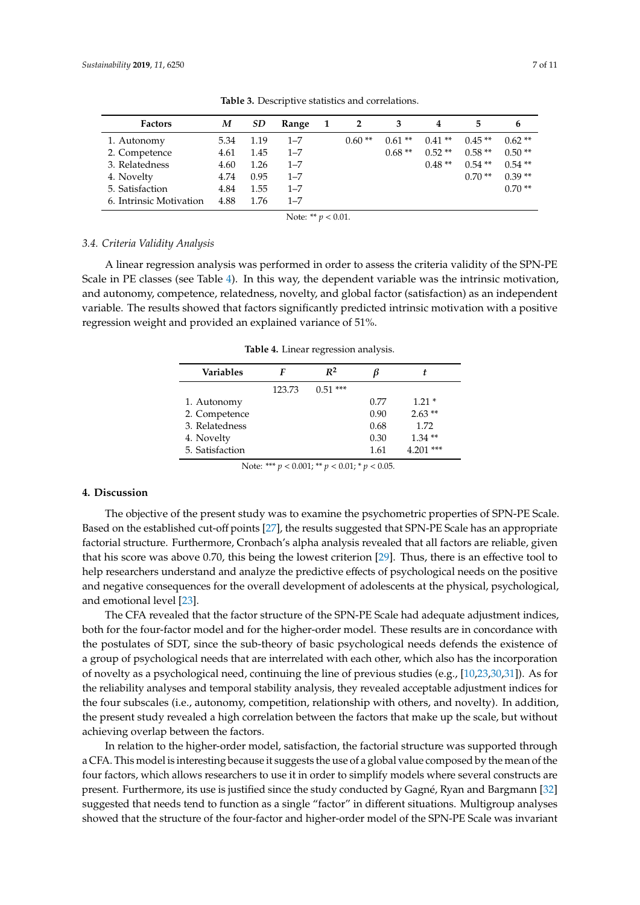<span id="page-6-0"></span>

| <b>Factors</b>          | M    | SD   | Range   | - 1 | 2        |          | 4        | 5.       | 6        |
|-------------------------|------|------|---------|-----|----------|----------|----------|----------|----------|
| 1. Autonomy             | 5.34 | 1.19 | $1 - 7$ |     | $0.60**$ | $0.61**$ | $0.41**$ | $0.45**$ | $0.62**$ |
| 2. Competence           | 4.61 | 1.45 | $1 - 7$ |     |          | $0.68**$ | $0.52**$ | $0.58**$ | $0.50**$ |
| 3. Relatedness          | 4.60 | 1.26 | $1 - 7$ |     |          |          | $0.48**$ | $0.54**$ | $0.54**$ |
| 4. Novelty              | 4.74 | 0.95 | $1 - 7$ |     |          |          |          | $0.70**$ | $0.39**$ |
| 5. Satisfaction         | 4.84 | 1.55 | $1 - 7$ |     |          |          |          |          | $0.70**$ |
| 6. Intrinsic Motivation | 4.88 | 1.76 | $1 - 7$ |     |          |          |          |          |          |

**Table 3.** Descriptive statistics and correlations.

Note: \*\* *p* < 0.01.

#### *3.4. Criteria Validity Analysis*

<span id="page-6-1"></span>A linear regression analysis was performed in order to assess the criteria validity of the SPN-PE Scale in PE classes (see Table [4\)](#page-6-1). In this way, the dependent variable was the intrinsic motivation, and autonomy, competence, relatedness, novelty, and global factor (satisfaction) as an independent variable. The results showed that factors significantly predicted intrinsic motivation with a positive regression weight and provided an explained variance of 51%.

**Table 4.** Linear regression analysis.

| Variables       |        | $R^2$     |      |             |
|-----------------|--------|-----------|------|-------------|
|                 | 123.73 | $0.51***$ |      |             |
| 1. Autonomy     |        |           | 0.77 | $1.21*$     |
| 2. Competence   |        |           | 0.90 | $2.63**$    |
| 3. Relatedness  |        |           | 0.68 | 1.72        |
| 4. Novelty      |        |           | 0.30 | $1.34**$    |
| 5. Satisfaction |        |           | 1.61 | $4.201$ *** |

Note: \*\*\* *p* < 0.001; \*\* *p* < 0.01; \* *p* < 0.05.

# **4. Discussion**

The objective of the present study was to examine the psychometric properties of SPN-PE Scale. Based on the established cut-off points [\[27\]](#page-10-2), the results suggested that SPN-PE Scale has an appropriate factorial structure. Furthermore, Cronbach's alpha analysis revealed that all factors are reliable, given that his score was above 0.70, this being the lowest criterion [\[29\]](#page-10-4). Thus, there is an effective tool to help researchers understand and analyze the predictive effects of psychological needs on the positive and negative consequences for the overall development of adolescents at the physical, psychological, and emotional level [\[23\]](#page-9-17).

The CFA revealed that the factor structure of the SPN-PE Scale had adequate adjustment indices, both for the four-factor model and for the higher-order model. These results are in concordance with the postulates of SDT, since the sub-theory of basic psychological needs defends the existence of a group of psychological needs that are interrelated with each other, which also has the incorporation of novelty as a psychological need, continuing the line of previous studies (e.g., [\[10,](#page-9-5)[23,](#page-9-17)[30,](#page-10-5)[31\]](#page-10-6)). As for the reliability analyses and temporal stability analysis, they revealed acceptable adjustment indices for the four subscales (i.e., autonomy, competition, relationship with others, and novelty). In addition, the present study revealed a high correlation between the factors that make up the scale, but without achieving overlap between the factors.

In relation to the higher-order model, satisfaction, the factorial structure was supported through a CFA. This model is interesting because it suggests the use of a global value composed by the mean of the four factors, which allows researchers to use it in order to simplify models where several constructs are present. Furthermore, its use is justified since the study conducted by Gagné, Ryan and Bargmann [\[32\]](#page-10-7) suggested that needs tend to function as a single "factor" in different situations. Multigroup analyses showed that the structure of the four-factor and higher-order model of the SPN-PE Scale was invariant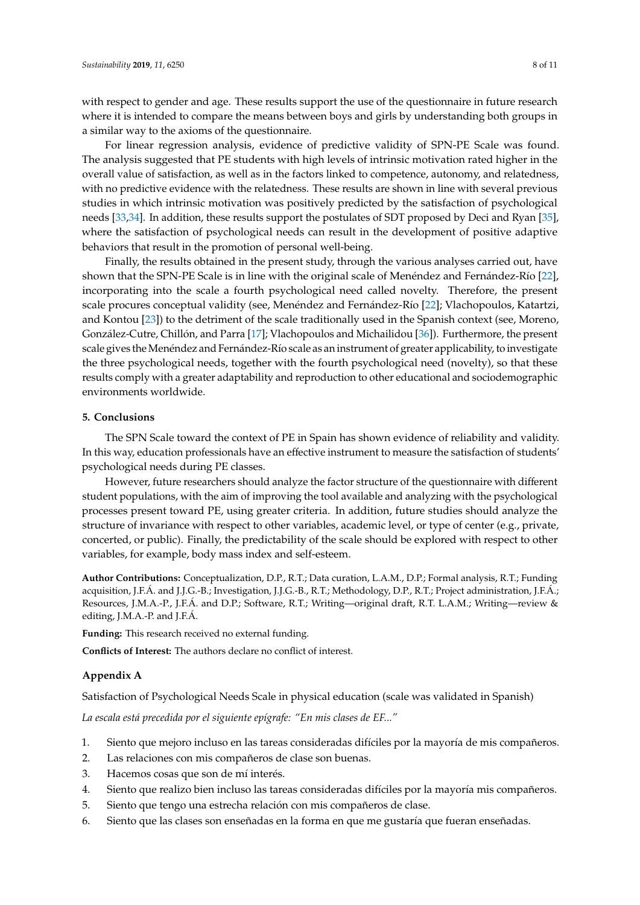with respect to gender and age. These results support the use of the questionnaire in future research where it is intended to compare the means between boys and girls by understanding both groups in a similar way to the axioms of the questionnaire.

For linear regression analysis, evidence of predictive validity of SPN-PE Scale was found. The analysis suggested that PE students with high levels of intrinsic motivation rated higher in the overall value of satisfaction, as well as in the factors linked to competence, autonomy, and relatedness, with no predictive evidence with the relatedness. These results are shown in line with several previous studies in which intrinsic motivation was positively predicted by the satisfaction of psychological needs [\[33](#page-10-8)[,34\]](#page-10-9). In addition, these results support the postulates of SDT proposed by Deci and Ryan [\[35\]](#page-10-10), where the satisfaction of psychological needs can result in the development of positive adaptive behaviors that result in the promotion of personal well-being.

Finally, the results obtained in the present study, through the various analyses carried out, have shown that the SPN-PE Scale is in line with the original scale of Menéndez and Fernández-Río [\[22\]](#page-9-16), incorporating into the scale a fourth psychological need called novelty. Therefore, the present scale procures conceptual validity (see, Menéndez and Fernández-Río [\[22\]](#page-9-16); Vlachopoulos, Katartzi, and Kontou [\[23\]](#page-9-17)) to the detriment of the scale traditionally used in the Spanish context (see, Moreno, González-Cutre, Chillón, and Parra [\[17\]](#page-9-12); Vlachopoulos and Michailidou [\[36\]](#page-10-11)). Furthermore, the present scale gives theMenéndez and Fernández-Río scale as an instrument of greater applicability, to investigate the three psychological needs, together with the fourth psychological need (novelty), so that these results comply with a greater adaptability and reproduction to other educational and sociodemographic environments worldwide.

# **5. Conclusions**

The SPN Scale toward the context of PE in Spain has shown evidence of reliability and validity. In this way, education professionals have an effective instrument to measure the satisfaction of students' psychological needs during PE classes.

However, future researchers should analyze the factor structure of the questionnaire with different student populations, with the aim of improving the tool available and analyzing with the psychological processes present toward PE, using greater criteria. In addition, future studies should analyze the structure of invariance with respect to other variables, academic level, or type of center (e.g., private, concerted, or public). Finally, the predictability of the scale should be explored with respect to other variables, for example, body mass index and self-esteem.

**Author Contributions:** Conceptualization, D.P., R.T.; Data curation, L.A.M., D.P.; Formal analysis, R.T.; Funding acquisition, J.F.Á. and J.J.G.-B.; Investigation, J.J.G.-B., R.T.; Methodology, D.P., R.T.; Project administration, J.F.Á.; Resources, J.M.A.-P., J.F.Á. and D.P.; Software, R.T.; Writing—original draft, R.T. L.A.M.; Writing—review & editing, J.M.A.-P. and J.F.Á.

**Funding:** This research received no external funding.

**Conflicts of Interest:** The authors declare no conflict of interest.

#### <span id="page-7-0"></span>**Appendix A**

Satisfaction of Psychological Needs Scale in physical education (scale was validated in Spanish)

*La escala está precedida por el siguiente epígrafe: "En mis clases de EF..."*

- 1. Siento que mejoro incluso en las tareas consideradas difíciles por la mayoría de mis compañeros.
- 2. Las relaciones con mis compañeros de clase son buenas.
- 3. Hacemos cosas que son de mí interés.
- 4. Siento que realizo bien incluso las tareas consideradas difíciles por la mayoría mis compañeros.
- 5. Siento que tengo una estrecha relación con mis compañeros de clase.
- 6. Siento que las clases son enseñadas en la forma en que me gustaría que fueran enseñadas.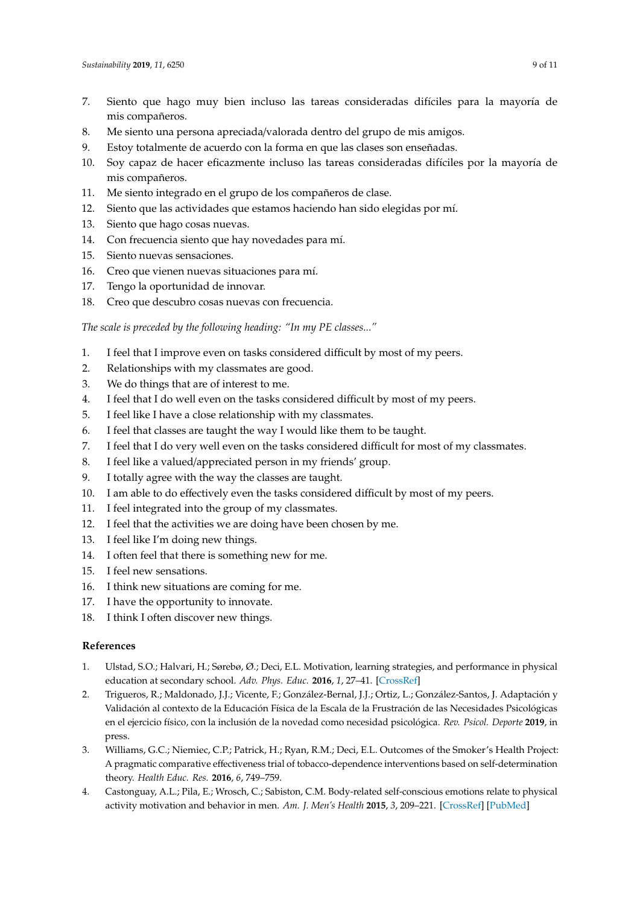- 7. Siento que hago muy bien incluso las tareas consideradas difíciles para la mayoría de mis compañeros.
- 8. Me siento una persona apreciada/valorada dentro del grupo de mis amigos.
- 9. Estoy totalmente de acuerdo con la forma en que las clases son enseñadas.
- 10. Soy capaz de hacer eficazmente incluso las tareas consideradas difíciles por la mayoría de mis compañeros.
- 11. Me siento integrado en el grupo de los compañeros de clase.
- 12. Siento que las actividades que estamos haciendo han sido elegidas por mí.
- 13. Siento que hago cosas nuevas.
- 14. Con frecuencia siento que hay novedades para mí.
- 15. Siento nuevas sensaciones.
- 16. Creo que vienen nuevas situaciones para mí.
- 17. Tengo la oportunidad de innovar.
- 18. Creo que descubro cosas nuevas con frecuencia.

*The scale is preceded by the following heading: "In my PE classes..."*

- 1. I feel that I improve even on tasks considered difficult by most of my peers.
- 2. Relationships with my classmates are good.
- 3. We do things that are of interest to me.
- 4. I feel that I do well even on the tasks considered difficult by most of my peers.
- 5. I feel like I have a close relationship with my classmates.
- 6. I feel that classes are taught the way I would like them to be taught.
- 7. I feel that I do very well even on the tasks considered difficult for most of my classmates.
- 8. I feel like a valued/appreciated person in my friends' group.
- 9. I totally agree with the way the classes are taught.
- 10. I am able to do effectively even the tasks considered difficult by most of my peers.
- 11. I feel integrated into the group of my classmates.
- 12. I feel that the activities we are doing have been chosen by me.
- 13. I feel like I'm doing new things.
- 14. I often feel that there is something new for me.
- 15. I feel new sensations.
- 16. I think new situations are coming for me.
- 17. I have the opportunity to innovate.
- 18. I think I often discover new things.

# **References**

- <span id="page-8-0"></span>1. Ulstad, S.O.; Halvari, H.; Sørebø, Ø.; Deci, E.L. Motivation, learning strategies, and performance in physical education at secondary school. *Adv. Phys. Educ.* **2016**, *1*, 27–41. [\[CrossRef\]](http://dx.doi.org/10.4236/ape.2016.61004)
- <span id="page-8-1"></span>2. Trigueros, R.; Maldonado, J.J.; Vicente, F.; González-Bernal, J.J.; Ortiz, L.; González-Santos, J. Adaptación y Validación al contexto de la Educación Física de la Escala de la Frustración de las Necesidades Psicológicas en el ejercicio físico, con la inclusión de la novedad como necesidad psicológica. *Rev. Psicol. Deporte* **2019**, in press.
- <span id="page-8-2"></span>3. Williams, G.C.; Niemiec, C.P.; Patrick, H.; Ryan, R.M.; Deci, E.L. Outcomes of the Smoker's Health Project: A pragmatic comparative effectiveness trial of tobacco-dependence interventions based on self-determination theory. *Health Educ. Res.* **2016**, *6*, 749–759.
- <span id="page-8-3"></span>4. Castonguay, A.L.; Pila, E.; Wrosch, C.; Sabiston, C.M. Body-related self-conscious emotions relate to physical activity motivation and behavior in men. *Am. J. Men's Health* **2015**, *3*, 209–221. [\[CrossRef\]](http://dx.doi.org/10.1177/1557988314537517) [\[PubMed\]](http://www.ncbi.nlm.nih.gov/pubmed/24899517)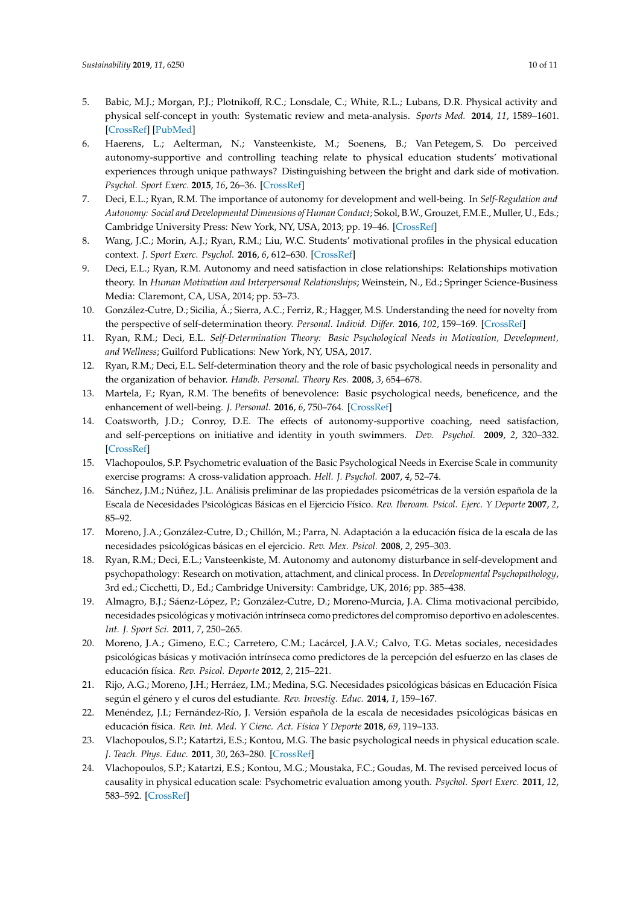- <span id="page-9-0"></span>5. Babic, M.J.; Morgan, P.J.; Plotnikoff, R.C.; Lonsdale, C.; White, R.L.; Lubans, D.R. Physical activity and physical self-concept in youth: Systematic review and meta-analysis. *Sports Med.* **2014**, *11*, 1589–1601. [\[CrossRef\]](http://dx.doi.org/10.1007/s40279-014-0229-z) [\[PubMed\]](http://www.ncbi.nlm.nih.gov/pubmed/25053012)
- <span id="page-9-1"></span>6. Haerens, L.; Aelterman, N.; Vansteenkiste, M.; Soenens, B.; Van Petegem, S. Do perceived autonomy-supportive and controlling teaching relate to physical education students' motivational experiences through unique pathways? Distinguishing between the bright and dark side of motivation. *Psychol. Sport Exerc.* **2015**, *16*, 26–36. [\[CrossRef\]](http://dx.doi.org/10.1016/j.psychsport.2014.08.013)
- <span id="page-9-2"></span>7. Deci, E.L.; Ryan, R.M. The importance of autonomy for development and well-being. In *Self-Regulation and Autonomy: Social and Developmental Dimensions of Human Conduct*; Sokol, B.W., Grouzet, F.M.E., Muller, U., Eds.; Cambridge University Press: New York, NY, USA, 2013; pp. 19–46. [\[CrossRef\]](http://dx.doi.org/10.1017/CBO9781139152198.005)
- <span id="page-9-3"></span>8. Wang, J.C.; Morin, A.J.; Ryan, R.M.; Liu, W.C. Students' motivational profiles in the physical education context. *J. Sport Exerc. Psychol.* **2016**, *6*, 612–630. [\[CrossRef\]](http://dx.doi.org/10.1123/jsep.2016-0153)
- <span id="page-9-4"></span>9. Deci, E.L.; Ryan, R.M. Autonomy and need satisfaction in close relationships: Relationships motivation theory. In *Human Motivation and Interpersonal Relationships*; Weinstein, N., Ed.; Springer Science-Business Media: Claremont, CA, USA, 2014; pp. 53–73.
- <span id="page-9-5"></span>10. González-Cutre, D.; Sicilia, Á.; Sierra, A.C.; Ferriz, R.; Hagger, M.S. Understanding the need for novelty from the perspective of self-determination theory. *Personal. Individ. Di*ff*er.* **2016**, *102*, 159–169. [\[CrossRef\]](http://dx.doi.org/10.1016/j.paid.2016.06.036)
- <span id="page-9-6"></span>11. Ryan, R.M.; Deci, E.L. *Self-Determination Theory: Basic Psychological Needs in Motivation, Development, and Wellness*; Guilford Publications: New York, NY, USA, 2017.
- <span id="page-9-7"></span>12. Ryan, R.M.; Deci, E.L. Self-determination theory and the role of basic psychological needs in personality and the organization of behavior. *Handb. Personal. Theory Res.* **2008**, *3*, 654–678.
- <span id="page-9-8"></span>13. Martela, F.; Ryan, R.M. The benefits of benevolence: Basic psychological needs, beneficence, and the enhancement of well-being. *J. Personal.* **2016**, *6*, 750–764. [\[CrossRef\]](http://dx.doi.org/10.1111/jopy.12215)
- <span id="page-9-9"></span>14. Coatsworth, J.D.; Conroy, D.E. The effects of autonomy-supportive coaching, need satisfaction, and self-perceptions on initiative and identity in youth swimmers. *Dev. Psychol.* **2009**, *2*, 320–332. [\[CrossRef\]](http://dx.doi.org/10.1037/a0014027)
- <span id="page-9-10"></span>15. Vlachopoulos, S.P. Psychometric evaluation of the Basic Psychological Needs in Exercise Scale in community exercise programs: A cross-validation approach. *Hell. J. Psychol.* **2007**, *4*, 52–74.
- <span id="page-9-11"></span>16. Sánchez, J.M.; Núñez, J.L. Análisis preliminar de las propiedades psicométricas de la versión española de la Escala de Necesidades Psicológicas Básicas en el Ejercicio Físico. *Rev. Iberoam. Psicol. Ejerc. Y Deporte* **2007**, *2*, 85–92.
- <span id="page-9-12"></span>17. Moreno, J.A.; González-Cutre, D.; Chillón, M.; Parra, N. Adaptación a la educación física de la escala de las necesidades psicológicas básicas en el ejercicio. *Rev. Mex. Psicol.* **2008**, *2*, 295–303.
- <span id="page-9-13"></span>18. Ryan, R.M.; Deci, E.L.; Vansteenkiste, M. Autonomy and autonomy disturbance in self-development and psychopathology: Research on motivation, attachment, and clinical process. In *Developmental Psychopathology*, 3rd ed.; Cicchetti, D., Ed.; Cambridge University: Cambridge, UK, 2016; pp. 385–438.
- <span id="page-9-14"></span>19. Almagro, B.J.; Sáenz-López, P.; González-Cutre, D.; Moreno-Murcia, J.A. Clima motivacional percibido, necesidades psicológicas y motivación intrínseca como predictores del compromiso deportivo en adolescentes. *Int. J. Sport Sci.* **2011**, *7*, 250–265.
- 20. Moreno, J.A.; Gimeno, E.C.; Carretero, C.M.; Lacárcel, J.A.V.; Calvo, T.G. Metas sociales, necesidades psicológicas básicas y motivación intrínseca como predictores de la percepción del esfuerzo en las clases de educación física. *Rev. Psicol. Deporte* **2012**, *2*, 215–221.
- <span id="page-9-15"></span>21. Rijo, A.G.; Moreno, J.H.; Herráez, I.M.; Medina, S.G. Necesidades psicológicas básicas en Educación Física según el género y el curos del estudiante. *Rev. Investig. Educ.* **2014**, *1*, 159–167.
- <span id="page-9-16"></span>22. Menéndez, J.I.; Fernández-Río, J. Versión española de la escala de necesidades psicológicas básicas en educación física. *Rev. Int. Med. Y Cienc. Act. Física Y Deporte* **2018**, *69*, 119–133.
- <span id="page-9-17"></span>23. Vlachopoulos, S.P.; Katartzi, E.S.; Kontou, M.G. The basic psychological needs in physical education scale. *J. Teach. Phys. Educ.* **2011**, *30*, 263–280. [\[CrossRef\]](http://dx.doi.org/10.1123/jtpe.30.3.263)
- <span id="page-9-18"></span>24. Vlachopoulos, S.P.; Katartzi, E.S.; Kontou, M.G.; Moustaka, F.C.; Goudas, M. The revised perceived locus of causality in physical education scale: Psychometric evaluation among youth. *Psychol. Sport Exerc.* **2011**, *12*, 583–592. [\[CrossRef\]](http://dx.doi.org/10.1016/j.psychsport.2011.07.003)